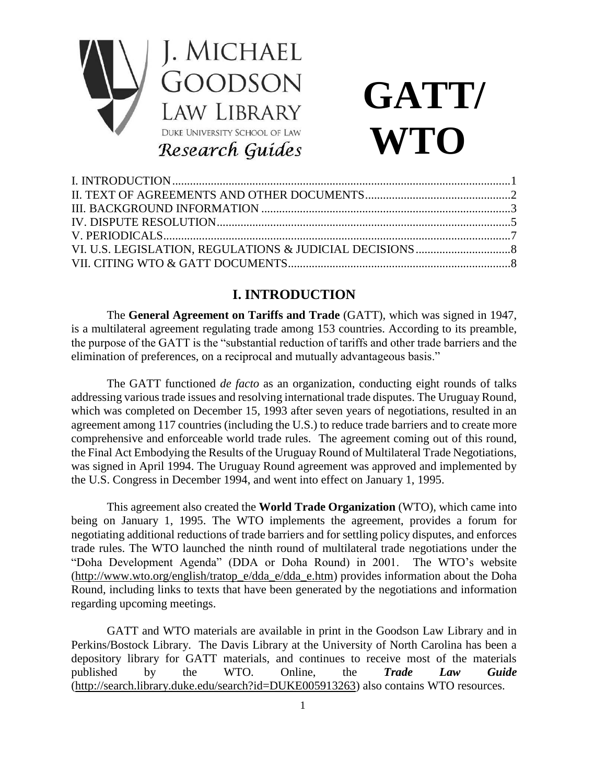

# **GATT/ WTO**

## **I. INTRODUCTION**

The **General Agreement on Tariffs and Trade** (GATT), which was signed in 1947, is a multilateral agreement regulating trade among 153 countries. According to its preamble, the purpose of the GATT is the "substantial reduction of tariffs and other trade barriers and the elimination of preferences, on a reciprocal and mutually advantageous basis."

The GATT functioned *de facto* as an organization, conducting eight rounds of talks addressing various trade issues and resolving international trade disputes. The Uruguay Round, which was completed on December 15, 1993 after seven years of negotiations, resulted in an agreement among 117 countries (including the U.S.) to reduce trade barriers and to create more comprehensive and enforceable world trade rules. The agreement coming out of this round, the Final Act Embodying the Results of the Uruguay Round of Multilateral Trade Negotiations, was signed in April 1994. The Uruguay Round agreement was approved and implemented by the U.S. Congress in December 1994, and went into effect on January 1, 1995.

This agreement also created the **World Trade Organization** (WTO), which came into being on January 1, 1995. The WTO implements the agreement, provides a forum for negotiating additional reductions of trade barriers and for settling policy disputes, and enforces trade rules. The WTO launched the ninth round of multilateral trade negotiations under the "Doha Development Agenda" (DDA or Doha Round) in 2001. The WTO's website [\(http://www.wto.org/english/tratop\\_e/dda\\_e/dda\\_e.htm\)](http://www.wto.org/english/tratop_e/dda_e/dda_e.htm) provides information about the Doha Round, including links to texts that have been generated by the negotiations and information regarding upcoming meetings.

GATT and WTO materials are available in print in the Goodson Law Library and in Perkins/Bostock Library. The Davis Library at the University of North Carolina has been a depository library for GATT materials, and continues to receive most of the materials published by the WTO. Online, the *Trade Law Guide* [\(http://search.library.duke.edu/search?id=DUKE005913263\)](http://search.library.duke.edu/search?id=DUKE005913263) also contains WTO resources.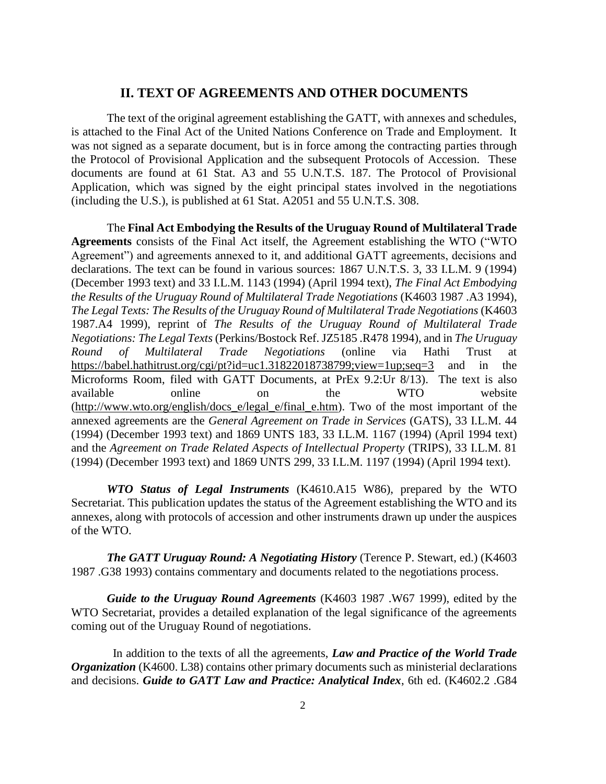#### **II. TEXT OF AGREEMENTS AND OTHER DOCUMENTS**

The text of the original agreement establishing the GATT, with annexes and schedules, is attached to the Final Act of the United Nations Conference on Trade and Employment. It was not signed as a separate document, but is in force among the contracting parties through the Protocol of Provisional Application and the subsequent Protocols of Accession. These documents are found at 61 Stat. A3 and 55 U.N.T.S. 187. The Protocol of Provisional Application, which was signed by the eight principal states involved in the negotiations (including the U.S.), is published at 61 Stat. A2051 and 55 U.N.T.S. 308.

The **Final Act Embodying the Results of the Uruguay Round of Multilateral Trade Agreements** consists of the Final Act itself, the Agreement establishing the WTO ("WTO Agreement") and agreements annexed to it, and additional GATT agreements, decisions and declarations. The text can be found in various sources: 1867 U.N.T.S. 3, 33 I.L.M. 9 (1994) (December 1993 text) and 33 I.L.M. 1143 (1994) (April 1994 text), *The Final Act Embodying the Results of the Uruguay Round of Multilateral Trade Negotiations* (K4603 1987 .A3 1994), *The Legal Texts: The Results of the Uruguay Round of Multilateral Trade Negotiations* (K4603 1987.A4 1999), reprint of *The Results of the Uruguay Round of Multilateral Trade Negotiations: The Legal Texts* (Perkins/Bostock Ref. JZ5185 .R478 1994), and in *The Uruguay Round of Multilateral Trade Negotiations* (online via Hathi Trust at <https://babel.hathitrust.org/cgi/pt?id=uc1.31822018738799;view=1up;seq=3> and in the Microforms Room, filed with GATT Documents, at PrEx 9.2:Ur 8/13). The text is also available online on the WTO website [\(http://www.wto.org/english/docs\\_e/legal\\_e/final\\_e.htm\)](http://www.wto.org/english/docs_e/legal_e/final_e.htm). Two of the most important of the annexed agreements are the *General Agreement on Trade in Services* (GATS), 33 I.L.M. 44 (1994) (December 1993 text) and 1869 UNTS 183, 33 I.L.M. 1167 (1994) (April 1994 text) and the *Agreement on Trade Related Aspects of Intellectual Property* (TRIPS), 33 I.L.M. 81 (1994) (December 1993 text) and 1869 UNTS 299, 33 I.L.M. 1197 (1994) (April 1994 text).

*WTO Status of Legal Instruments* (K4610.A15 W86), prepared by the WTO Secretariat. This publication updates the status of the Agreement establishing the WTO and its annexes, along with protocols of accession and other instruments drawn up under the auspices of the WTO.

*The GATT Uruguay Round: A Negotiating History* (Terence P. Stewart, ed.) (K4603 1987 .G38 1993) contains commentary and documents related to the negotiations process.

*Guide to the Uruguay Round Agreements* (K4603 1987 .W67 1999), edited by the WTO Secretariat, provides a detailed explanation of the legal significance of the agreements coming out of the Uruguay Round of negotiations.

In addition to the texts of all the agreements, *Law and Practice of the World Trade Organization* (K4600. L38) contains other primary documents such as ministerial declarations and decisions. *Guide to GATT Law and Practice: Analytical Index*, 6th ed. (K4602.2 .G84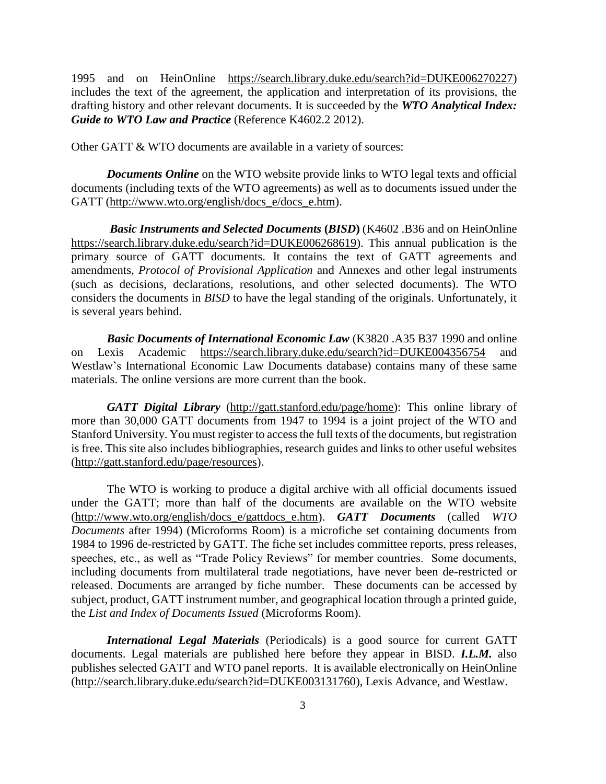1995 and on HeinOnline [https://search.library.duke.edu/search?id=DUKE006270227\)](https://search.library.duke.edu/search?id=DUKE006270227) includes the text of the agreement, the application and interpretation of its provisions, the drafting history and other relevant documents. It is succeeded by the *WTO Analytical Index: Guide to WTO Law and Practice* (Reference K4602.2 2012).

Other GATT & WTO documents are available in a variety of sources:

*Documents Online* on the WTO website provide links to WTO legal texts and official documents (including texts of the WTO agreements) as well as to documents issued under the GATT [\(http://www.wto.org/english/docs\\_e/docs\\_e.htm\)](http://www.wto.org/english/docs_e/docs_e.htm).

*Basic Instruments and Selected Documents* **(***BISD***)** (K4602 .B36 and on HeinOnline [https://search.library.duke.edu/search?id=DUKE006268619\)](https://search.library.duke.edu/search?id=DUKE006268619). This annual publication is the primary source of GATT documents. It contains the text of GATT agreements and amendments, *Protocol of Provisional Application* and Annexes and other legal instruments (such as decisions, declarations, resolutions, and other selected documents). The WTO considers the documents in *BISD* to have the legal standing of the originals. Unfortunately, it is several years behind.

*Basic Documents of International Economic Law* (K3820 .A35 B37 1990 and online on Lexis Academic <https://search.library.duke.edu/search?id=DUKE004356754> and Westlaw's International Economic Law Documents database) contains many of these same materials. The online versions are more current than the book.

*GATT Digital Library* [\(http://gatt.stanford.edu/page/home\)](http://gatt.stanford.edu/page/home): This online library of more than 30,000 GATT documents from 1947 to 1994 is a joint project of the WTO and Stanford University. You must register to access the full texts of the documents, but registration is free. This site also includes bibliographies, research guides and links to other useful websites [\(http://gatt.stanford.edu/page/resources\)](http://gatt.stanford.edu/page/resources).

The WTO is working to produce a digital archive with all official documents issued under the GATT; more than half of the documents are available on the WTO website [\(http://www.wto.org/english/docs\\_e/gattdocs\\_e.htm\)](http://www.wto.org/english/docs_e/gattdocs_e.htm). *GATT Documents* (called *WTO Documents* after 1994) (Microforms Room) is a microfiche set containing documents from 1984 to 1996 de-restricted by GATT. The fiche set includes committee reports, press releases, speeches, etc., as well as "Trade Policy Reviews" for member countries. Some documents, including documents from multilateral trade negotiations, have never been de-restricted or released. Documents are arranged by fiche number. These documents can be accessed by subject, product, GATT instrument number, and geographical location through a printed guide, the *List and Index of Documents Issued* (Microforms Room).

*International Legal Materials* (Periodicals) is a good source for current GATT documents. Legal materials are published here before they appear in BISD. *I.L.M.* also publishes selected GATT and WTO panel reports. It is available electronically on HeinOnline [\(http://search.library.duke.edu/search?id=DUKE003131760\)](http://search.library.duke.edu/search?id=DUKE003131760), Lexis Advance, and Westlaw.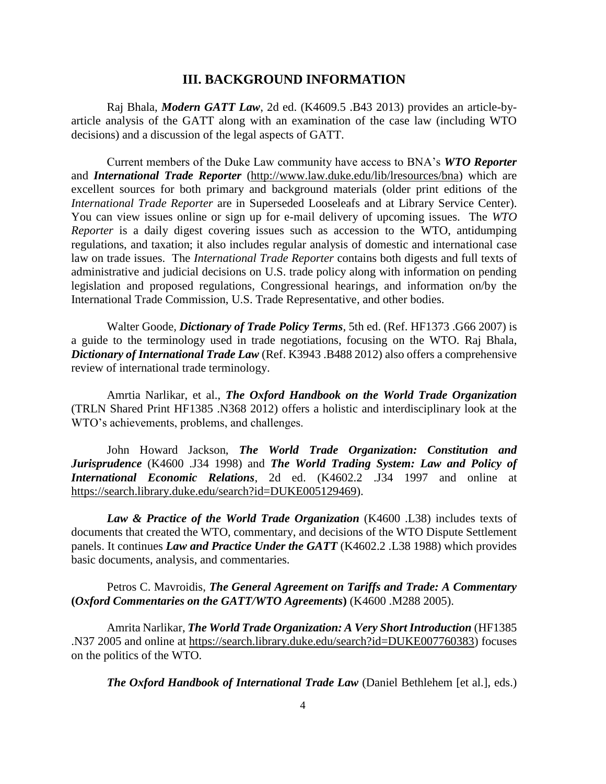#### **III. BACKGROUND INFORMATION**

Raj Bhala, *Modern GATT Law*, 2d ed. (K4609.5 .B43 2013) provides an article-byarticle analysis of the GATT along with an examination of the case law (including WTO decisions) and a discussion of the legal aspects of GATT.

Current members of the Duke Law community have access to BNA's *WTO Reporter* and *International Trade Reporter* [\(http://www.law.duke.edu/lib/lresources/bna\)](http://www.law.duke.edu/lib/lresources/bna) which are excellent sources for both primary and background materials (older print editions of the *International Trade Reporter* are in Superseded Looseleafs and at Library Service Center). You can view issues online or sign up for e-mail delivery of upcoming issues. The *WTO Reporter* is a daily digest covering issues such as accession to the WTO, antidumping regulations, and taxation; it also includes regular analysis of domestic and international case law on trade issues. The *International Trade Reporter* contains both digests and full texts of administrative and judicial decisions on U.S. trade policy along with information on pending legislation and proposed regulations, Congressional hearings, and information on/by the International Trade Commission, U.S. Trade Representative, and other bodies.

Walter Goode*, Dictionary of Trade Policy Terms*, 5th ed. (Ref. HF1373 .G66 2007) is a guide to the terminology used in trade negotiations, focusing on the WTO. Raj Bhala, *Dictionary of International Trade Law* (Ref. K3943 .B488 2012) also offers a comprehensive review of international trade terminology.

Amrtia Narlikar, et al., *The Oxford Handbook on the World Trade Organization* (TRLN Shared Print HF1385 .N368 2012) offers a holistic and interdisciplinary look at the WTO's achievements, problems, and challenges.

John Howard Jackson, *The World Trade Organization: Constitution and Jurisprudence* (K4600 .J34 1998) and *The World Trading System: Law and Policy of International Economic Relations*, 2d ed. (K4602.2 .J34 1997 and online at [https://search.library.duke.edu/search?id=DUKE005129469\)](https://search.library.duke.edu/search?id=DUKE005129469).

*Law & Practice of the World Trade Organization* (K4600 .L38) includes texts of documents that created the WTO, commentary, and decisions of the WTO Dispute Settlement panels. It continues *Law and Practice Under the GATT* (K4602.2 .L38 1988) which provides basic documents, analysis, and commentaries.

Petros C. Mavroidis, *The General Agreement on Tariffs and Trade: A Commentary*  **(***Oxford Commentaries on the GATT/WTO Agreements***)** (K4600 .M288 2005).

Amrita Narlikar, *The World Trade Organization: A Very Short Introduction* (HF1385 .N37 2005 and online at [https://search.library.duke.edu/search?id=DUKE007760383\)](https://search.library.duke.edu/search?id=DUKE007760383) focuses on the politics of the WTO.

*The Oxford Handbook of International Trade Law* (Daniel Bethlehem [et al.], eds.)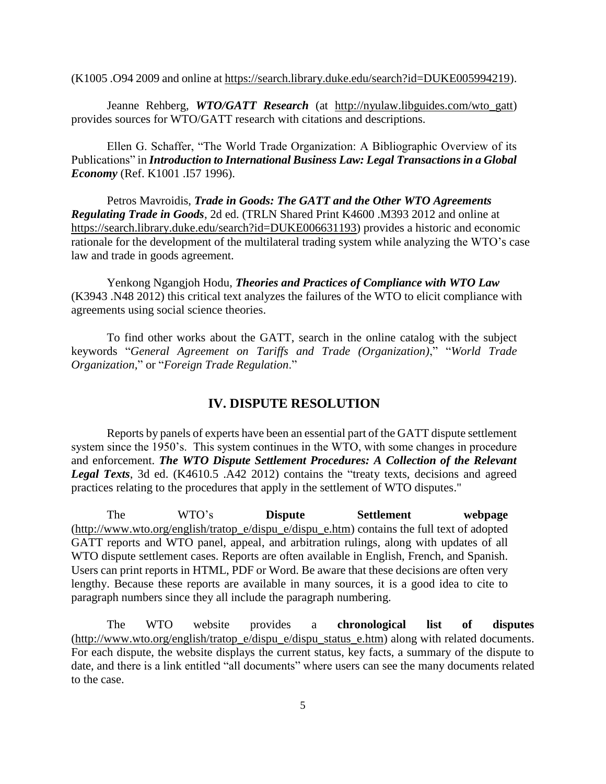(K1005 .O94 2009 and online at [https://search.library.duke.edu/search?id=DUKE005994219\)](https://search.library.duke.edu/search?id=DUKE005994219).

Jeanne Rehberg, *WTO/GATT Research* (at [http://nyulaw.libguides.com/wto\\_gatt\)](http://nyulaw.libguides.com/wto_gatt) provides sources for WTO/GATT research with citations and descriptions.

Ellen G. Schaffer, "The World Trade Organization: A Bibliographic Overview of its Publications" in *Introduction to International Business Law: Legal Transactions in a Global Economy* (Ref. K1001 .I57 1996).

Petros Mavroidis, *Trade in Goods: The GATT and the Other WTO Agreements Regulating Trade in Goods*, 2d ed. (TRLN Shared Print K4600 .M393 2012 and online at [https://search.library.duke.edu/search?id=DUKE006631193\)](https://search.library.duke.edu/search?id=DUKE006631193) provides a historic and economic rationale for the development of the multilateral trading system while analyzing the WTO's case law and trade in goods agreement.

Yenkong Ngangjoh Hodu, *Theories and Practices of Compliance with WTO Law* (K3943 .N48 2012) this critical text analyzes the failures of the WTO to elicit compliance with agreements using social science theories.

To find other works about the GATT, search in the online catalog with the subject keywords "*General Agreement on Tariffs and Trade (Organization)*," "*World Trade Organization,*" or "*Foreign Trade Regulation*."

#### **IV. DISPUTE RESOLUTION**

Reports by panels of experts have been an essential part of the GATT dispute settlement system since the 1950's. This system continues in the WTO, with some changes in procedure and enforcement. *The WTO Dispute Settlement Procedures: A Collection of the Relevant Legal Texts*, 3d ed. (K4610.5 .A42 2012) contains the "treaty texts, decisions and agreed practices relating to the procedures that apply in the settlement of WTO disputes."

The WTO's **Dispute Settlement webpage** [\(http://www.wto.org/english/tratop\\_e/dispu\\_e/dispu\\_e.htm\)](http://www.wto.org/english/tratop_e/dispu_e/dispu_e.htm) contains the full text of adopted GATT reports and WTO panel, appeal, and arbitration rulings, along with updates of all WTO dispute settlement cases. Reports are often available in English, French, and Spanish. Users can print reports in HTML, PDF or Word. Be aware that these decisions are often very lengthy. Because these reports are available in many sources, it is a good idea to cite to paragraph numbers since they all include the paragraph numbering.

The WTO website provides a **chronological list of disputes** [\(http://www.wto.org/english/tratop\\_e/dispu\\_e/dispu\\_status\\_e.htm\)](http://www.wto.org/english/tratop_e/dispu_e/dispu_status_e.htm) along with related documents. For each dispute, the website displays the current status, key facts, a summary of the dispute to date, and there is a link entitled "all documents" where users can see the many documents related to the case.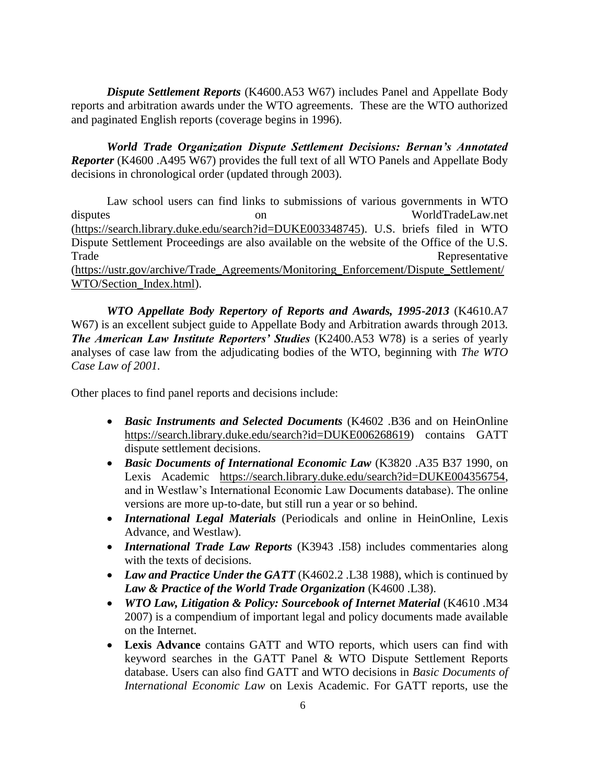*Dispute Settlement Reports* (K4600.A53 W67) includes Panel and Appellate Body reports and arbitration awards under the WTO agreements. These are the WTO authorized and paginated English reports (coverage begins in 1996).

*World Trade Organization Dispute Settlement Decisions: Bernan's Annotated Reporter* (K4600 .A495 W67) provides the full text of all WTO Panels and Appellate Body decisions in chronological order (updated through 2003).

Law school users can find links to submissions of various governments in WTO disputes on WorldTradeLaw.net [\(https://search.library.duke.edu/search?id=DUKE003348745\)](https://search.library.duke.edu/search?id=DUKE003348745). U.S. briefs filed in WTO Dispute Settlement Proceedings are also available on the website of the Office of the U.S. Trade Representative [\(https://ustr.gov/archive/Trade\\_Agreements/Monitoring\\_Enforcement/Dispute\\_Settlement/](https://ustr.gov/archive/Trade_Agreements/Monitoring_Enforcement/Dispute_Settlement/WTO/Section_Index.html) [WTO/Section\\_Index.html\)](https://ustr.gov/archive/Trade_Agreements/Monitoring_Enforcement/Dispute_Settlement/WTO/Section_Index.html).

*WTO Appellate Body Repertory of Reports and Awards, 1995-2013* (K4610.A7 W67) is an excellent subject guide to Appellate Body and Arbitration awards through 2013*. The American Law Institute Reporters' Studies* (K2400.A53 W78) is a series of yearly analyses of case law from the adjudicating bodies of the WTO, beginning with *The WTO Case Law of 2001.*

Other places to find panel reports and decisions include:

- *Basic Instruments and Selected Documents* (K4602 .B36 and on HeinOnline [https://search.library.duke.edu/search?id=DUKE006268619\)](https://search.library.duke.edu/search?id=DUKE006268619) contains GATT dispute settlement decisions.
- *Basic Documents of International Economic Law* (K3820 .A35 B37 1990, on Lexis Academic [https://search.library.duke.edu/search?id=DUKE004356754,](https://search.library.duke.edu/search?id=DUKE004356754) and in Westlaw's International Economic Law Documents database). The online versions are more up-to-date, but still run a year or so behind.
- *International Legal Materials* (Periodicals and online in HeinOnline, Lexis Advance, and Westlaw).
- *International Trade Law Reports* (K3943 .I58) includes commentaries along with the texts of decisions.
- *Law and Practice Under the GATT* (K4602.2 .L38 1988), which is continued by *Law & Practice of the World Trade Organization* (K4600 .L38).
- *WTO Law, Litigation & Policy: Sourcebook of Internet Material* (K4610 .M34 2007) is a compendium of important legal and policy documents made available on the Internet.
- **Lexis Advance** contains GATT and WTO reports, which users can find with keyword searches in the GATT Panel & WTO Dispute Settlement Reports database. Users can also find GATT and WTO decisions in *Basic Documents of International Economic Law* on Lexis Academic. For GATT reports, use the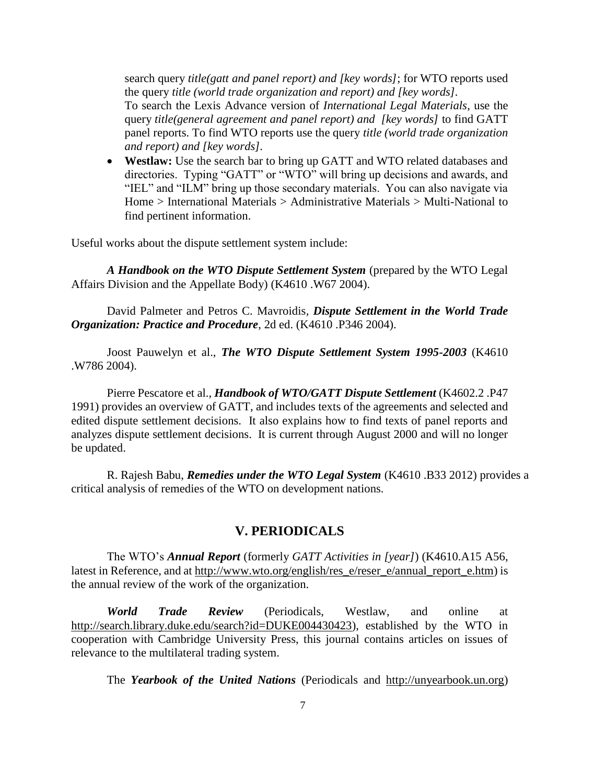search query *title(gatt and panel report) and [key words]*; for WTO reports used the query *title (world trade organization and report) and [key words].* To search the Lexis Advance version of *International Legal Materials*, use the query *title(general agreement and panel report) and [key words]* to find GATT panel reports. To find WTO reports use the query *title (world trade organization and report) and [key words].* 

 **Westlaw:** Use the search bar to bring up GATT and WTO related databases and directories. Typing "GATT" or "WTO" will bring up decisions and awards, and "IEL" and "ILM" bring up those secondary materials. You can also navigate via Home > International Materials > Administrative Materials > Multi-National to find pertinent information.

Useful works about the dispute settlement system include:

*A Handbook on the WTO Dispute Settlement System* (prepared by the WTO Legal Affairs Division and the Appellate Body) (K4610 .W67 2004).

David Palmeter and Petros C. Mavroidis*, Dispute Settlement in the World Trade Organization: Practice and Procedure*, 2d ed. (K4610 .P346 2004).

Joost Pauwelyn et al., *The WTO Dispute Settlement System 1995-2003* (K4610 .W786 2004).

Pierre Pescatore et al., *Handbook of WTO/GATT Dispute Settlement* (K4602.2 .P47 1991) provides an overview of GATT, and includes texts of the agreements and selected and edited dispute settlement decisions. It also explains how to find texts of panel reports and analyzes dispute settlement decisions. It is current through August 2000 and will no longer be updated.

R. Rajesh Babu, *Remedies under the WTO Legal System* (K4610 .B33 2012) provides a critical analysis of remedies of the WTO on development nations.

#### **V. PERIODICALS**

The WTO's *Annual Report* (formerly *GATT Activities in [year]*) (K4610.A15 A56, latest in Reference, and at [http://www.wto.org/english/res\\_e/reser\\_e/annual\\_report\\_e.htm\)](http://www.wto.org/english/res_e/reser_e/annual_report_e.htm) is the annual review of the work of the organization.

*World Trade Review* (Periodicals, Westlaw, and online at [http://search.library.duke.edu/search?id=DUKE004430423\)](http://search.library.duke.edu/search?id=DUKE004430423), established by the WTO in cooperation with Cambridge University Press, this journal contains articles on issues of relevance to the multilateral trading system.

The *Yearbook of the United Nations* (Periodicals and [http://unyearbook.un.org\)](http://unyearbook.un.org/)